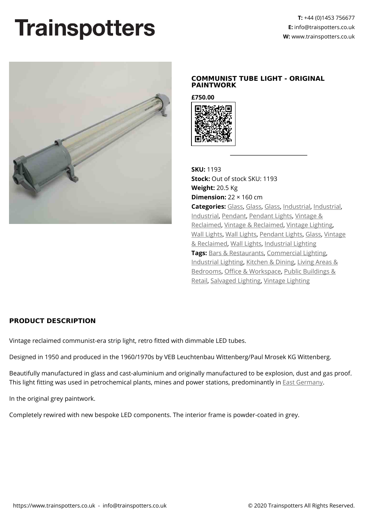## **Trainspotters**



## **COMMUNIST TUBE LIGHT - ORIGINAL PAINTWORK**

**£750.00**



**SKU:** 1193 **Stock:** Out of stock SKU: 1193 **Weight:** 20.5 Kg **Dimension:** 22 × 160 cm **Categories:** [Glass](https://www.trainspotters.co.uk/vintage-reclaimed/), [Glass](https://www.trainspotters.co.uk/glass-lights/), [Glass](https://www.trainspotters.co.uk/glass-lights/), [Industrial](https://www.trainspotters.co.uk/industrial/), [Industrial,](https://www.trainspotters.co.uk/industrial/) [Industrial](https://www.trainspotters.co.uk/industrial/), [Pendant](https://www.trainspotters.co.uk/pendant-lights/), [Pendant Lights,](https://www.trainspotters.co.uk/pendant-lights/) [Vintage &](https://www.trainspotters.co.uk/vintage-reclaimed/) [Reclaimed](https://www.trainspotters.co.uk/vintage-reclaimed/), [Vintage & Reclaimed,](https://www.trainspotters.co.uk/vintage-reclaimed/) [Vintage Lighting](https://www.trainspotters.co.uk/vintage-reclaimed/), [Wall Lights,](https://www.trainspotters.co.uk/wall-lights/) [Wall Lights](https://www.trainspotters.co.uk/wall-lights/), [Pendant Lights,](https://www.trainspotters.co.uk/pendant-lights/) [Glass](https://www.trainspotters.co.uk/glass-lights/), [Vintage](https://www.trainspotters.co.uk/vintage-reclaimed/) [& Reclaimed,](https://www.trainspotters.co.uk/vintage-reclaimed/) [Wall Lights](https://www.trainspotters.co.uk/wall-lights/), [Industrial Lighting](https://www.trainspotters.co.uk/industrial/) **Tags:** [Bars & Restaurants,](https://www.trainspotters.co.uk/bars-restaurants/) [Commercial Lighting,](https://www.trainspotters.co.uk/commercial-lighting/) [Industrial Lighting,](https://www.trainspotters.co.uk/industrial/) [Kitchen & Dining](https://www.trainspotters.co.uk/kitchen-dining/), [Living Areas &](https://www.trainspotters.co.uk/living-areas-bedrooms/) [Bedrooms](https://www.trainspotters.co.uk/living-areas-bedrooms/), [Office & Workspace,](https://www.trainspotters.co.uk/office-workspace/) [Public Buildings &](https://www.trainspotters.co.uk/public-buildings-retail/) [Retail,](https://www.trainspotters.co.uk/public-buildings-retail/) [Salvaged Lighting,](https://www.trainspotters.co.uk/vintage-reclaimed/) [Vintage Lighting](https://www.trainspotters.co.uk/vintage-reclaimed/)

## **PRODUCT DESCRIPTION**

Vintage reclaimed communist-era strip light, retro fitted with dimmable LED tubes.

Designed in 1950 and produced in the 1960/1970s by VEB Leuchtenbau Wittenberg/Paul Mrosek KG Wittenberg.

Beautifully manufactured in glass and cast-aluminium and originally manufactured to be explosion, dust and gas proof. This light fitting was used in petrochemical plants, mines and power stations, predominantly in [East Germany](https://en.wikipedia.org/wiki/East_Germany).

In the original grey paintwork.

Completely rewired with new bespoke LED components. The interior frame is powder-coated in grey.